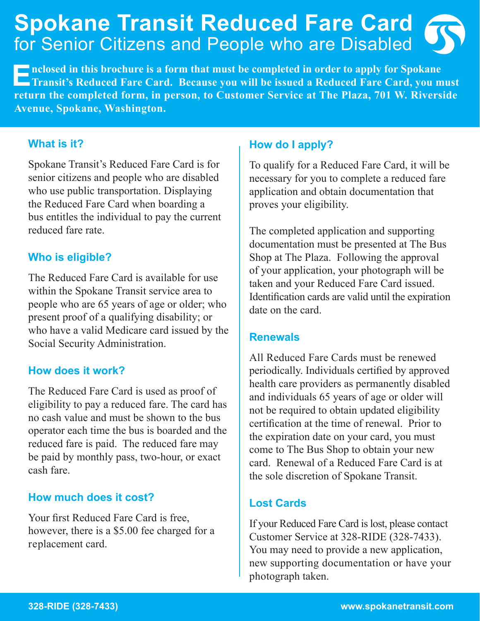## **Spokane Transit Reduced Fare Card** for Senior Citizens and People who are Disabled

**Enclosed in this brochure is a form that must be completed in order to apply for Spokane <b>Transit's Reduced Fare Card. Because you will be issued a Reduced Fare Card, you must**  $\frac{1}{2}$ **return the completed form, in person, to Customer Service at The Plaza, 701 W. Riverside Avenue, Spokane, Washington.**

#### **What is it?**

Spokane Transit's Reduced Fare Card is for senior citizens and people who are disabled who use public transportation. Displaying the Reduced Fare Card when boarding a bus entitles the individual to pay the current reduced fare rate.

#### **Who is eligible?**

The Reduced Fare Card is available for use within the Spokane Transit service area to people who are 65 years of age or older; who present proof of a qualifying disability; or who have a valid Medicare card issued by the Social Security Administration.

#### **How does it work?**

The Reduced Fare Card is used as proof of eligibility to pay a reduced fare. The card has no cash value and must be shown to the bus operator each time the bus is boarded and the reduced fare is paid. The reduced fare may be paid by monthly pass, two-hour, or exact cash fare.

#### **How much does it cost?**

Your first Reduced Fare Card is free, however, there is a \$5.00 fee charged for a replacement card.

#### **How do I apply?**

To qualify for a Reduced Fare Card, it will be necessary for you to complete a reduced fare application and obtain documentation that proves your eligibility.

The completed application and supporting documentation must be presented at The Bus Shop at The Plaza. Following the approval of your application, your photograph will be taken and your Reduced Fare Card issued. Identification cards are valid until the expiration date on the card.

#### **Renewals**

All Reduced Fare Cards must be renewed periodically. Individuals certified by approved health care providers as permanently disabled and individuals 65 years of age or older will not be required to obtain updated eligibility certification at the time of renewal. Prior to the expiration date on your card, you must come to The Bus Shop to obtain your new card. Renewal of a Reduced Fare Card is at the sole discretion of Spokane Transit.

#### **Lost Cards**

If your Reduced Fare Card is lost, please contact Customer Service at 328-RIDE (328-7433). You may need to provide a new application, new supporting documentation or have your photograph taken.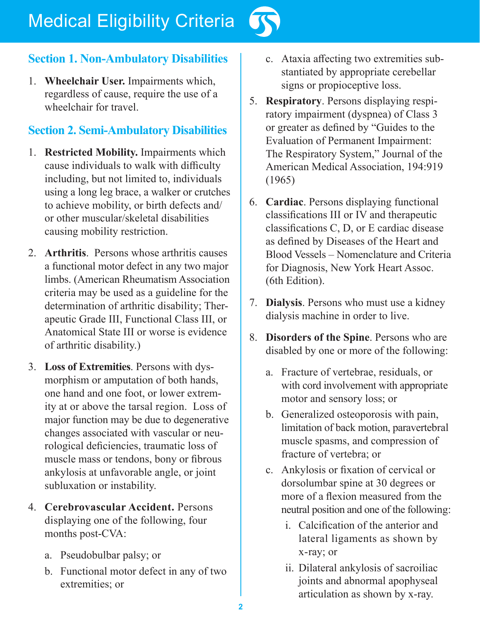# Medical Eligibility Criteria



## **Section 1. Non-Ambulatory Disabilities**

1. **Wheelchair User.** Impairments which, regardless of cause, require the use of a wheelchair for travel.

## **Section 2. Semi-Ambulatory Disabilities**

- 1. **Restricted Mobility.** Impairments which cause individuals to walk with difficulty including, but not limited to, individuals using a long leg brace, a walker or crutches to achieve mobility, or birth defects and/ or other muscular/skeletal disabilities causing mobility restriction.
- 2. **Arthritis**. Persons whose arthritis causes a functional motor defect in any two major limbs. (American Rheumatism Association criteria may be used as a guideline for the determination of arthritic disability; Therapeutic Grade III, Functional Class III, or Anatomical State III or worse is evidence of arthritic disability.)
- 3. **Loss of Extremities**. Persons with dysmorphism or amputation of both hands, one hand and one foot, or lower extremity at or above the tarsal region. Loss of major function may be due to degenerative changes associated with vascular or neurological deficiencies, traumatic loss of muscle mass or tendons, bony or fibrous ankylosis at unfavorable angle, or joint subluxation or instability.
- 4. **Cerebrovascular Accident.** Persons displaying one of the following, four months post-CVA:
	- a. Pseudobulbar palsy; or
	- b. Functional motor defect in any of two extremities; or
- c. Ataxia affecting two extremities substantiated by appropriate cerebellar signs or propioceptive loss.
- 5. **Respiratory**. Persons displaying respiratory impairment (dyspnea) of Class 3 or greater as defined by "Guides to the Evaluation of Permanent Impairment: The Respiratory System," Journal of the American Medical Association, 194:919 (1965)
- 6. **Cardiac**. Persons displaying functional classifications III or IV and therapeutic classifications C, D, or E cardiac disease as defined by Diseases of the Heart and Blood Vessels – Nomenclature and Criteria for Diagnosis, New York Heart Assoc. (6th Edition).
- 7. **Dialysis**. Persons who must use a kidney dialysis machine in order to live.
- 8. **Disorders of the Spine**. Persons who are disabled by one or more of the following:
	- a. Fracture of vertebrae, residuals, or with cord involvement with appropriate motor and sensory loss; or
	- b. Generalized osteoporosis with pain, limitation of back motion, paravertebral muscle spasms, and compression of fracture of vertebra; or
	- c. Ankylosis or fixation of cervical or dorsolumbar spine at 30 degrees or more of a flexion measured from the neutral position and one of the following:
		- i. Calcification of the anterior and lateral ligaments as shown by x-ray; or
		- ii. Dilateral ankylosis of sacroiliac joints and abnormal apophyseal articulation as shown by x-ray.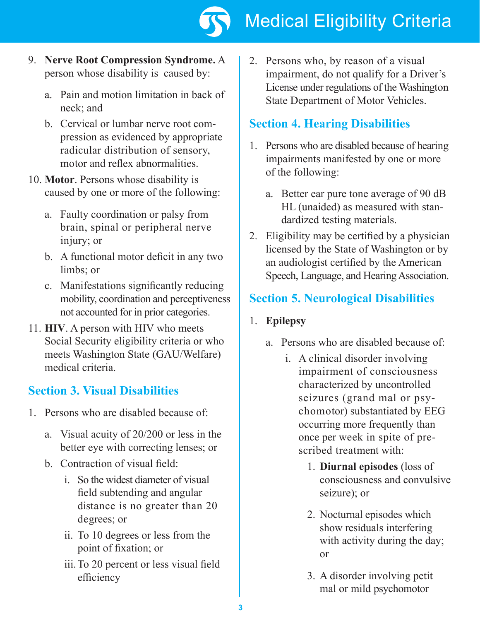

- 9. **Nerve Root Compression Syndrome.** A person whose disability is caused by:
	- a. Pain and motion limitation in back of neck; and
	- b. Cervical or lumbar nerve root compression as evidenced by appropriate radicular distribution of sensory, motor and reflex abnormalities.
- 10. **Motor**. Persons whose disability is caused by one or more of the following:
	- a. Faulty coordination or palsy from brain, spinal or peripheral nerve injury; or
	- b. A functional motor deficit in any two limbs; or
	- c. Manifestations significantly reducing mobility, coordination and perceptiveness not accounted for in prior categories.
- 11. **HIV**. A person with HIV who meets Social Security eligibility criteria or who meets Washington State (GAU/Welfare) medical criteria.

## **Section 3. Visual Disabilities**

- 1. Persons who are disabled because of:
	- a. Visual acuity of 20/200 or less in the better eye with correcting lenses; or
	- b. Contraction of visual field:
		- i. So the widest diameter of visual field subtending and angular distance is no greater than 20 degrees; or
		- ii. To 10 degrees or less from the point of fixation; or
		- iii.To 20 percent or less visual field efficiency

2. Persons who, by reason of a visual impairment, do not qualify for a Driver's License under regulations of the Washington State Department of Motor Vehicles.

## **Section 4. Hearing Disabilities**

- 1. Persons who are disabled because of hearing impairments manifested by one or more of the following:
	- a. Better ear pure tone average of 90 dB HL (unaided) as measured with standardized testing materials.
- 2. Eligibility may be certified by a physician licensed by the State of Washington or by an audiologist certified by the American Speech, Language, and Hearing Association.

## **Section 5. Neurological Disabilities**

### 1. **Epilepsy**

- a. Persons who are disabled because of:
	- i. A clinical disorder involving impairment of consciousness characterized by uncontrolled seizures (grand mal or psychomotor) substantiated by EEG occurring more frequently than once per week in spite of prescribed treatment with:
		- 1. **Diurnal episodes** (loss of consciousness and convulsive seizure); or
		- 2. Nocturnal episodes which show residuals interfering with activity during the day; or
		- 3. A disorder involving petit mal or mild psychomotor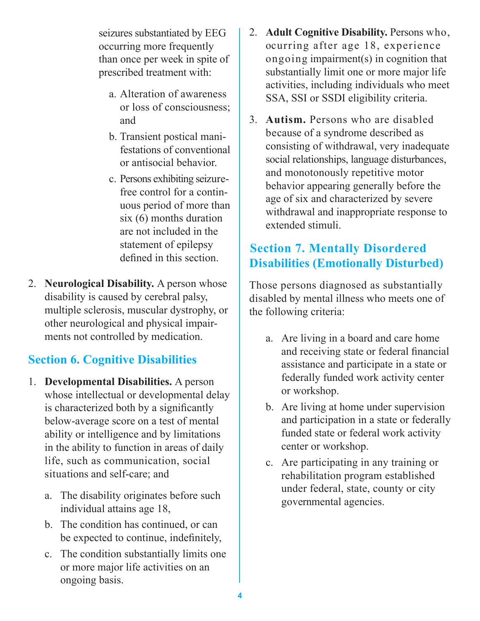seizures substantiated by EEG occurring more frequently than once per week in spite of prescribed treatment with:

- a. Alteration of awareness or loss of consciousness; and
- b. Transient postical manifestations of conventional or antisocial behavior.
- c. Persons exhibiting seizurefree control for a continuous period of more than six (6) months duration are not included in the statement of epilepsy defined in this section.
- 2. **Neurological Disability.** A person whose disability is caused by cerebral palsy, multiple sclerosis, muscular dystrophy, or other neurological and physical impairments not controlled by medication.

## **Section 6. Cognitive Disabilities**

- 1. **Developmental Disabilities.** A person whose intellectual or developmental delay is characterized both by a significantly below-average score on a test of mental ability or intelligence and by limitations in the ability to function in areas of daily life, such as communication, social situations and self-care; and
	- a. The disability originates before such individual attains age 18,
	- b. The condition has continued, or can be expected to continue, indefinitely,
	- c. The condition substantially limits one or more major life activities on an ongoing basis.
- 2. **Adult Cognitive Disability.** Persons who, ocurring after age 18, experience ongoing impairment(s) in cognition that substantially limit one or more major life activities, including individuals who meet SSA, SSI or SSDI eligibility criteria.
- 3. **Autism.** Persons who are disabled because of a syndrome described as consisting of withdrawal, very inadequate social relationships, language disturbances, and monotonously repetitive motor behavior appearing generally before the age of six and characterized by severe withdrawal and inappropriate response to extended stimuli.

## **Section 7. Mentally Disordered Disabilities (Emotionally Disturbed)**

Those persons diagnosed as substantially disabled by mental illness who meets one of the following criteria:

- a. Are living in a board and care home and receiving state or federal financial assistance and participate in a state or federally funded work activity center or workshop.
- b. Are living at home under supervision and participation in a state or federally funded state or federal work activity center or workshop.
- c. Are participating in any training or rehabilitation program established under federal, state, county or city governmental agencies.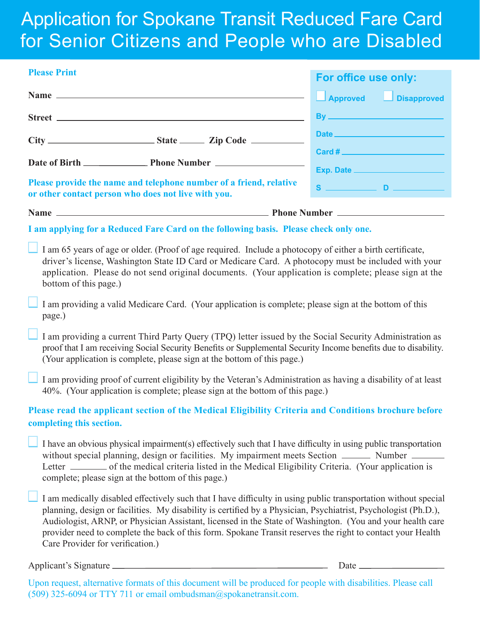## Application for Spokane Transit Reduced Fare Card for Senior Citizens and People who are Disabled

| <b>Please Print</b>                                                                                                                                                                                                                                                                                                                                                                                                                                                                             |                               |  |
|-------------------------------------------------------------------------------------------------------------------------------------------------------------------------------------------------------------------------------------------------------------------------------------------------------------------------------------------------------------------------------------------------------------------------------------------------------------------------------------------------|-------------------------------|--|
|                                                                                                                                                                                                                                                                                                                                                                                                                                                                                                 | For office use only:          |  |
|                                                                                                                                                                                                                                                                                                                                                                                                                                                                                                 | Approved JDisapproved         |  |
|                                                                                                                                                                                                                                                                                                                                                                                                                                                                                                 |                               |  |
|                                                                                                                                                                                                                                                                                                                                                                                                                                                                                                 |                               |  |
|                                                                                                                                                                                                                                                                                                                                                                                                                                                                                                 |                               |  |
|                                                                                                                                                                                                                                                                                                                                                                                                                                                                                                 |                               |  |
| Please provide the name and telephone number of a friend, relative<br>or other contact person who does not live with you.                                                                                                                                                                                                                                                                                                                                                                       |                               |  |
|                                                                                                                                                                                                                                                                                                                                                                                                                                                                                                 |                               |  |
| I am applying for a Reduced Fare Card on the following basis. Please check only one.                                                                                                                                                                                                                                                                                                                                                                                                            |                               |  |
| I am 65 years of age or older. (Proof of age required. Include a photocopy of either a birth certificate,<br>driver's license, Washington State ID Card or Medicare Card. A photocopy must be included with your<br>application. Please do not send original documents. (Your application is complete; please sign at the<br>bottom of this page.)                                                                                                                                              |                               |  |
| I am providing a valid Medicare Card. (Your application is complete; please sign at the bottom of this<br>page.)                                                                                                                                                                                                                                                                                                                                                                                |                               |  |
| I am providing a current Third Party Query (TPQ) letter issued by the Social Security Administration as<br>proof that I am receiving Social Security Benefits or Supplemental Security Income benefits due to disability.<br>(Your application is complete, please sign at the bottom of this page.)                                                                                                                                                                                            |                               |  |
| I am providing proof of current eligibility by the Veteran's Administration as having a disability of at least<br>40%. (Your application is complete; please sign at the bottom of this page.)                                                                                                                                                                                                                                                                                                  |                               |  |
| Please read the applicant section of the Medical Eligibility Criteria and Conditions brochure before<br>completing this section.                                                                                                                                                                                                                                                                                                                                                                |                               |  |
| I have an obvious physical impairment(s) effectively such that I have difficulty in using public transportation<br>without special planning, design or facilities. My impairment meets Section _______ Number _______<br>Letter _______ of the medical criteria listed in the Medical Eligibility Criteria. (Your application is<br>complete; please sign at the bottom of this page.)                                                                                                          |                               |  |
| I am medically disabled effectively such that I have difficulty in using public transportation without special<br>planning, design or facilities. My disability is certified by a Physician, Psychiatrist, Psychologist (Ph.D.),<br>Audiologist, ARNP, or Physician Assistant, licensed in the State of Washington. (You and your health care<br>provider need to complete the back of this form. Spokane Transit reserves the right to contact your Health<br>Care Provider for verification.) |                               |  |
| Applicant's Signature                                                                                                                                                                                                                                                                                                                                                                                                                                                                           | Date $\overline{\phantom{a}}$ |  |

Upon request, alternative formats of this document will be produced for people with disabilities. Please call (509) 325-6094 or TTY 711 or email ombudsman@spokanetransit.com.